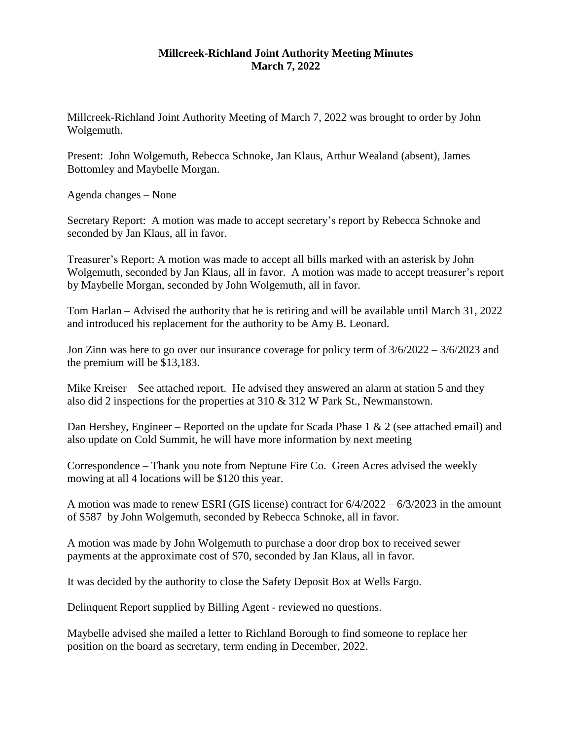## **Millcreek-Richland Joint Authority Meeting Minutes March 7, 2022**

Millcreek-Richland Joint Authority Meeting of March 7, 2022 was brought to order by John Wolgemuth.

Present: John Wolgemuth, Rebecca Schnoke, Jan Klaus, Arthur Wealand (absent), James Bottomley and Maybelle Morgan.

Agenda changes – None

Secretary Report: A motion was made to accept secretary's report by Rebecca Schnoke and seconded by Jan Klaus, all in favor.

Treasurer's Report: A motion was made to accept all bills marked with an asterisk by John Wolgemuth, seconded by Jan Klaus, all in favor. A motion was made to accept treasurer's report by Maybelle Morgan, seconded by John Wolgemuth, all in favor.

Tom Harlan – Advised the authority that he is retiring and will be available until March 31, 2022 and introduced his replacement for the authority to be Amy B. Leonard.

Jon Zinn was here to go over our insurance coverage for policy term of 3/6/2022 – 3/6/2023 and the premium will be \$13,183.

Mike Kreiser – See attached report. He advised they answered an alarm at station 5 and they also did 2 inspections for the properties at 310 & 312 W Park St., Newmanstown.

Dan Hershey, Engineer – Reported on the update for Scada Phase 1  $\&$  2 (see attached email) and also update on Cold Summit, he will have more information by next meeting

Correspondence – Thank you note from Neptune Fire Co. Green Acres advised the weekly mowing at all 4 locations will be \$120 this year.

A motion was made to renew ESRI (GIS license) contract for 6/4/2022 – 6/3/2023 in the amount of \$587 by John Wolgemuth, seconded by Rebecca Schnoke, all in favor.

A motion was made by John Wolgemuth to purchase a door drop box to received sewer payments at the approximate cost of \$70, seconded by Jan Klaus, all in favor.

It was decided by the authority to close the Safety Deposit Box at Wells Fargo.

Delinquent Report supplied by Billing Agent - reviewed no questions.

Maybelle advised she mailed a letter to Richland Borough to find someone to replace her position on the board as secretary, term ending in December, 2022.